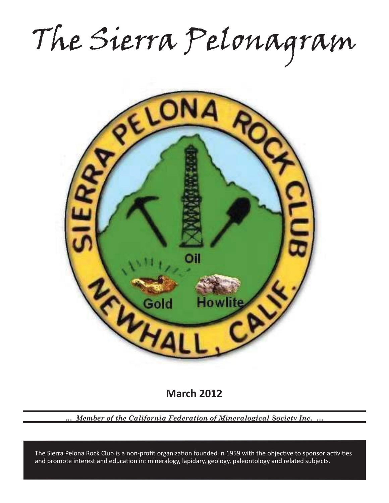The Sierra Pelonagram



**March 2012**

*… Member of the California Federation of Mineralogical Society Inc. …*

and promote interest and education in: mineralogy, lapidary, geology, paleontology and related subjects. The Sierra Pelona Rock Club is a non-profit organization founded in 1959 with the objective to sponsor activities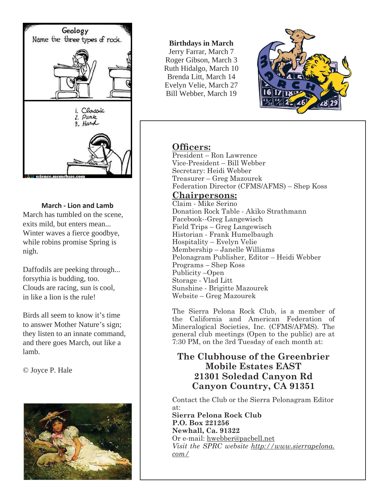

# **March - Lion and Lamb**

March has tumbled on the scene, exits mild, but enters mean... Winter waves a fierce goodbye, while robins promise Spring is nigh.

Daffodils are peeking through... forsythia is budding, too. Clouds are racing, sun is cool, in like a lion is the rule!

Birds all seem to know it's time to answer Mother Nature's sign; they listen to an innate command, and there goes March, out like a lamb.

© Joyce P. Hale



# **Birthdays in March**

Jerry Farrar, March 7 Roger Gibson, March 3 Ruth Hidalgo, March 10 Brenda Litt, March 14 Evelyn Velie, March 27 Bill Webber, March 19



# **Officers:**

President – Ron Lawrence Vice-President – Bill Webber Secretary: Heidi Webber Treasurer – Greg Mazourek Federation Director (CFMS/AFMS) – Shep Koss

# **Chairpersons:**

Claim - Mike Serino Donation Rock Table - Akiko Strathmann Facebook--Greg Langewisch Field Trips – Greg Langewisch Historian - Frank Humelbaugh Hospitality – Evelyn Velie Membership – Janelle Williams Pelonagram Publisher, Editor – Heidi Webber Programs – Shep Koss Publicity –Open Storage - Vlad Litt Sunshine - Brigitte Mazourek Website – Greg Mazourek

The Sierra Pelona Rock Club, is a member of the California and American Federation of Mineralogical Societies, Inc. (CFMS/AFMS). The general club meetings (Open to the public) are at 7:30 PM, on the 3rd Tuesday of each month at:

# **The Clubhouse of the Greenbrier Mobile Estates EAST 21301 Soledad Canyon Rd Canyon Country, CA 91351**

Contact the Club or the Sierra Pelonagram Editor at:

**Sierra Pelona Rock Club P.O. Box 221256 Newhall, Ca. 91322** Or e-mail: hwebber@pacbell.net *Visit the SPRC website http://www.sierrapelona. com/*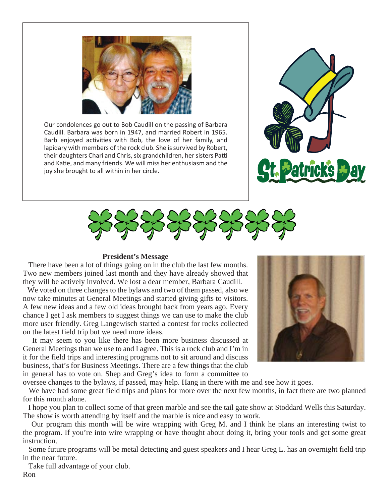

Our condolences go out to Bob Caudill on the passing of Barbara Caudill. Barbara was born in 1947, and married Robert in 1965. Barb enjoyed activities with Bob, the love of her family, and lapidary with members of the rock club. She is survived by Robert, their daughters Chari and Chris, six grandchildren, her sisters Patti and Katie, and many friends. We will miss her enthusiasm and the joy she brought to all within in her circle.





# **President's Message**

 There have been a lot of things going on in the club the last few months. Two new members joined last month and they have already showed that they will be actively involved. We lost a dear member, Barbara Caudill.

 We voted on three changes to the bylaws and two of them passed, also we now take minutes at General Meetings and started giving gifts to visitors. A few new ideas and a few old ideas brought back from years ago. Every chance I get I ask members to suggest things we can use to make the club more user friendly. Greg Langewisch started a contest for rocks collected on the latest field trip but we need more ideas.

 It may seem to you like there has been more business discussed at General Meetings than we use to and I agree. This is a rock club and I'm in it for the field trips and interesting programs not to sit around and discuss business, that's for Business Meetings. There are a few things that the club in general has to vote on. Shep and Greg's idea to form a committee to



oversee changes to the bylaws, if passed, may help. Hang in there with me and see how it goes.

 We have had some great field trips and plans for more over the next few months, in fact there are two planned for this month alone.

 I hope you plan to collect some of that green marble and see the tail gate show at Stoddard Wells this Saturday. The show is worth attending by itself and the marble is nice and easy to work.

 Our program this month will be wire wrapping with Greg M. and I think he plans an interesting twist to the program. If you're into wire wrapping or have thought about doing it, bring your tools and get some great instruction.

 Some future programs will be metal detecting and guest speakers and I hear Greg L. has an overnight field trip in the near future.

 Take full advantage of your club. Ron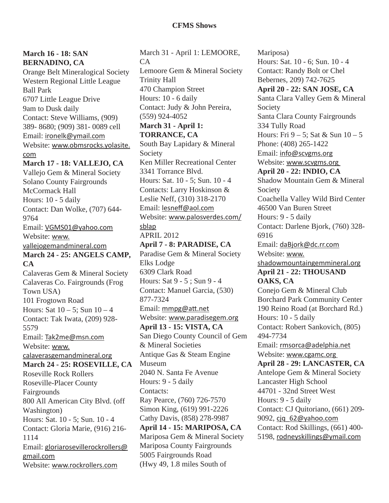# **March 16 - 18: SAN BERNADINO, CA**

Orange Belt Mineralogical Society Western Regional Little League Ball Park 6707 Little League Drive 9am to Dusk daily Contact: Steve Williams, (909) 389- 8680; (909) 381- 0089 cell Email: ironelk@ymail.com Website: www.obmsrocks.yolasite. com

# **March 17 - 18: VALLEJO, CA**

Vallejo Gem & Mineral Society Solano County Fairgrounds McCormack Hall Hours: 10 - 5 daily Contact: Dan Wolke, (707) 644- 9764 Email: VGMS01@yahoo.com Website: www. vallejogemandmineral.com **March 24 - 25: ANGELS CAMP, CA** Calaveras Gem & Mineral Society Calaveras Co. Fairgrounds (Frog Town USA) 101 Frogtown Road Hours: Sat  $10 - 5$ ; Sun  $10 - 4$ Contact: Tak Iwata, (209) 928- 5579 Email: Tak2me@msn.com Website: www. calaverasgemandmineral.org **March 24 - 25: ROSEVILLE, CA** Roseville Rock Rollers Roseville-Placer County Fairgrounds 800 All American City Blvd. (off Washington) Hours: Sat. 10 - 5; Sun. 10 - 4 Contact: Gloria Marie, (916) 216- 1114 Email: gloriarosevillerockrollers@ gmail.com Website: www.rockrollers.com

March 31 - April 1: LEMOORE, CA Lemoore Gem & Mineral Society Trinity Hall 470 Champion Street Hours: 10 - 6 daily Contact: Judy & John Pereira, (559) 924-4052 **March 31 - April 1: TORRANCE, CA** South Bay Lapidary & Mineral Society Ken Miller Recreational Center 3341 Torrance Blvd. Hours: Sat. 10 - 5; Sun. 10 - 4 Contacts: Larry Hoskinson & Leslie Neff, (310) 318-2170 Email: lesneff @aol.com Website: www.palosverdes.com/ sblap APRIL 2012 **April 7 - 8: PARADISE, CA** Paradise Gem & Mineral Society Elks Lodge 6309 Clark Road Hours: Sat 9 - 5 ; Sun 9 - 4 Contact: Manuel Garcia, (530) 877-7324 Email: mmpg@att .net Website: www.paradisegem.org **April 13 - 15: VISTA, CA** San Diego County Council of Gem & Mineral Societies Antique Gas & Steam Engine Museum 2040 N. Santa Fe Avenue Hours: 9 - 5 daily Contacts: Ray Pearce, (760) 726-7570 Simon King, (619) 991-2226 Cathy Davis, (858) 278-9987 **April 14 - 15: MARIPOSA, CA** Mariposa Gem & Mineral Society Mariposa County Fairgrounds 5005 Fairgrounds Road (Hwy 49, 1.8 miles South of

Mariposa) Hours: Sat. 10 - 6; Sun. 10 - 4 Contact: Randy Bolt or Chel Bebernes, 209) 742-7625 **April 20 - 22: SAN JOSE, CA** Santa Clara Valley Gem & Mineral Society Santa Clara County Fairgrounds 334 Tully Road Hours: Fri  $9 - 5$ ; Sat & Sun  $10 - 5$ Phone: (408) 265-1422 Email: info@scvgms.org Website: www.scvgms.org **April 20 - 22: INDIO, CA** Shadow Mountain Gem & Mineral Society Coachella Valley Wild Bird Center 46500 Van Buren Street Hours: 9 - 5 daily Contact: Darlene Bjork, (760) 328- 6916 Email: daBjork@dc.rr.com Website: www. shadowmountaingemmineral.org **April 21 - 22: THOUSAND OAKS, CA** Conejo Gem & Mineral Club Borchard Park Community Center 190 Reino Road (at Borchard Rd.) Hours: 10 - 5 daily Contact: Robert Sankovich, (805) 494-7734 Email: rmsorca@adelphia.net Website: www.cgamc.org **April 28 - 29: LANCASTER, CA** Antelope Gem & Mineral Society Lancaster High School 44701 - 32nd Street West Hours: 9 - 5 daily Contact: CJ Quitoriano, (661) 209- 9092, cjq\_62@yahoo.com Contact: Rod Skillings, (661) 400- 5198, rodneyskillings@ymail.com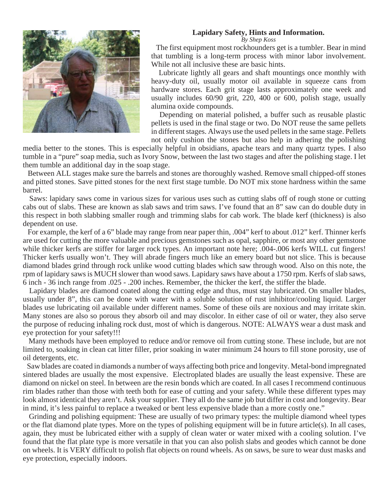

# **Lapidary Safety, Hints and Information.**

*By Shep Koss*

 The first equipment most rockhounders get is a tumbler. Bear in mind that tumbling is a long-term process with minor labor involvement. While not all inclusive these are basic hints.

 Lubricate lightly all gears and shaft mountings once monthly with heavy-duty oil, usually motor oil available in squeeze cans from hardware stores. Each grit stage lasts approximately one week and usually includes 60/90 grit, 220, 400 or 600, polish stage, usually alumina oxide compounds.

 Depending on material polished, a buffer such as reusable plastic pellets is used in the final stage or two. Do NOT reuse the same pellets in different stages. Always use the used pellets in the same stage. Pellets not only cushion the stones but also help in adhering the polishing

media better to the stones. This is especially helpful in obsidians, apache tears and many quartz types. I also tumble in a "pure" soap media, such as Ivory Snow, between the last two stages and after the polishing stage. I let them tumble an additional day in the soap stage.

 Between ALL stages make sure the barrels and stones are thoroughly washed. Remove small chipped-off stones and pitted stones. Save pitted stones for the next first stage tumble. Do NOT mix stone hardness within the same barrel.

 Saws: lapidary saws come in various sizes for various uses such as cutting slabs off of rough stone or cutting cabs out of slabs. These are known as slab saws and trim saws. I've found that an 8" saw can do double duty in this respect in both slabbing smaller rough and trimming slabs for cab work. The blade kerf (thickness) is also dependent on use.

 For example, the kerf of a 6" blade may range from near paper thin, .004" kerf to about .012" kerf. Thinner kerfs are used for cutting the more valuable and precious gemstones such as opal, sapphire, or most any other gemstone while thicker kerfs are stiffer for larger rock types. An important note here; .004-.006 kerfs WILL cut fingers! Thicker kerfs usually won't. They will abrade fingers much like an emery board but not slice. This is because diamond blades grind through rock unlike wood cutting blades which saw through wood. Also on this note, the rpm of lapidary saws is MUCH slower than wood saws. Lapidary saws have about a 1750 rpm. Kerfs of slab saws, 6 inch - 36 inch range from .025 - .200 inches. Remember, the thicker the kerf, the stiffer the blade.

 Lapidary blades are diamond coated along the cutting edge and thus, must stay lubricated. On smaller blades, usually under 8", this can be done with water with a soluble solution of rust inhibitor/cooling liquid. Larger blades use lubricating oil available under different names. Some of these oils are noxious and may irritate skin. Many stones are also so porous they absorb oil and may discolor. In either case of oil or water, they also serve the purpose of reducing inhaling rock dust, most of which is dangerous. NOTE: ALWAYS wear a dust mask and eye protection for your safety!!!

 Many methods have been employed to reduce and/or remove oil from cutting stone. These include, but are not limited to, soaking in clean cat litter filler, prior soaking in water minimum 24 hours to fill stone porosity, use of oil detergents, etc.

 Saw blades are coated in diamonds a number of ways affecting both price and longevity. Metal-bond impregnated sintered blades are usually the most expensive. Electroplated blades are usually the least expensive. These are diamond on nickel on steel. In between are the resin bonds which are coated. In all cases I recommend continuous rim blades rather than those with teeth both for ease of cutting and your safety. While these different types may look almost identical they aren't. Ask your supplier. They all do the same job but differ in cost and longevity. Bear in mind, it's less painful to replace a tweaked or bent less expensive blade than a more costly one."

 Grinding and polishing equipment: These are usually of two primary types: the multiple diamond wheel types or the flat diamond plate types. More on the types of polishing equipment will be in future article(s). In all cases, again, they must be lubricated either with a supply of clean water or water mixed with a cooling solution. I've found that the flat plate type is more versatile in that you can also polish slabs and geodes which cannot be done on wheels. It is VERY difficult to polish flat objects on round wheels. As on saws, be sure to wear dust masks and eye protection, especially indoors.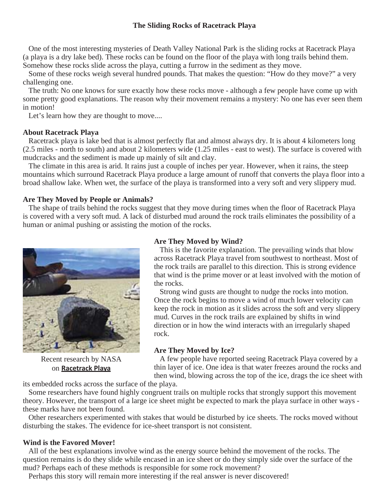# **The Sliding Rocks of Racetrack Playa**

 One of the most interesting mysteries of Death Valley National Park is the sliding rocks at Racetrack Playa (a playa is a dry lake bed). These rocks can be found on the floor of the playa with long trails behind them. Somehow these rocks slide across the playa, cutting a furrow in the sediment as they move.

 Some of these rocks weigh several hundred pounds. That makes the question: "How do they move?" a very challenging one.

 The truth: No one knows for sure exactly how these rocks move - although a few people have come up with some pretty good explanations. The reason why their movement remains a mystery: No one has ever seen them in motion!

Let's learn how they are thought to move....

# **About Racetrack Playa**

 Racetrack playa is lake bed that is almost perfectly flat and almost always dry. It is about 4 kilometers long (2.5 miles - north to south) and about 2 kilometers wide (1.25 miles - east to west). The surface is covered with mudcracks and the sediment is made up mainly of silt and clay.

 The climate in this area is arid. It rains just a couple of inches per year. However, when it rains, the steep mountains which surround Racetrack Playa produce a large amount of runoff that converts the playa floor into a broad shallow lake. When wet, the surface of the playa is transformed into a very soft and very slippery mud.

# **Are They Moved by People or Animals?**

 The shape of trails behind the rocks suggest that they move during times when the floor of Racetrack Playa is covered with a very soft mud. A lack of disturbed mud around the rock trails eliminates the possibility of a human or animal pushing or assisting the motion of the rocks.



Recent research by NASA on **Racetrack Playa**

#### **Are They Moved by Wind?**

 This is the favorite explanation. The prevailing winds that blow across Racetrack Playa travel from southwest to northeast. Most of the rock trails are parallel to this direction. This is strong evidence that wind is the prime mover or at least involved with the motion of the rocks.

 Strong wind gusts are thought to nudge the rocks into motion. Once the rock begins to move a wind of much lower velocity can keep the rock in motion as it slides across the soft and very slippery mud. Curves in the rock trails are explained by shifts in wind direction or in how the wind interacts with an irregularly shaped rock.

# **Are They Moved by Ice?**

 A few people have reported seeing Racetrack Playa covered by a thin layer of ice. One idea is that water freezes around the rocks and then wind, blowing across the top of the ice, drags the ice sheet with

its embedded rocks across the surface of the playa.

 Some researchers have found highly congruent trails on multiple rocks that strongly support this movement theory. However, the transport of a large ice sheet might be expected to mark the playa surface in other ways these marks have not been found.

 Other researchers experimented with stakes that would be disturbed by ice sheets. The rocks moved without disturbing the stakes. The evidence for ice-sheet transport is not consistent.

# **Wind is the Favored Mover!**

 All of the best explanations involve wind as the energy source behind the movement of the rocks. The question remains is do they slide while encased in an ice sheet or do they simply side over the surface of the mud? Perhaps each of these methods is responsible for some rock movement?

Perhaps this story will remain more interesting if the real answer is never discovered!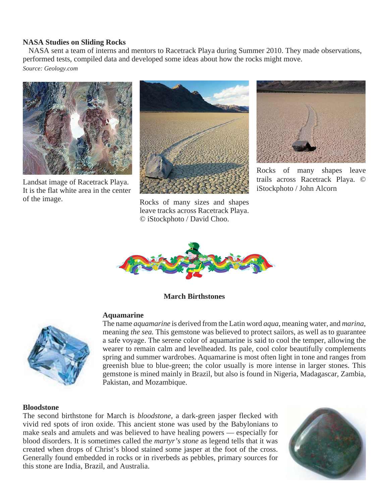# **NASA Studies on Sliding Rocks**

 NASA sent a team of interns and mentors to Racetrack Playa during Summer 2010. They made observations, performed tests, compiled data and developed some ideas about how the rocks might move. *Source: Geology.com*



Landsat image of Racetrack Playa. It is the flat white area in the center



of the image. Rocks of many sizes and shapes leave tracks across Racetrack Playa. © iStockphoto / David Choo.



Rocks of many shapes leave trails across Racetrack Playa. © iStockphoto / John Alcorn



**March Birthstones**

# **Aquamarine**



The name *aquamarine* is derived from the Latin word *aqua*, meaning water, and *marina*, meaning *the sea.* This gemstone was believed to protect sailors, as well as to guarantee a safe voyage. The serene color of aquamarine is said to cool the temper, allowing the wearer to remain calm and levelheaded. Its pale, cool color beautifully complements spring and summer wardrobes. Aquamarine is most often light in tone and ranges from greenish blue to blue-green; the color usually is more intense in larger stones. This gemstone is mined mainly in Brazil, but also is found in Nigeria, Madagascar, Zambia, Pakistan, and Mozambique.

# **Bloodstone**

The second birthstone for March is *bloodstone*, a dark-green jasper flecked with vivid red spots of iron oxide. This ancient stone was used by the Babylonians to make seals and amulets and was believed to have healing powers — especially for blood disorders. It is sometimes called the *martyr's stone* as legend tells that it was created when drops of Christ's blood stained some jasper at the foot of the cross. Generally found embedded in rocks or in riverbeds as pebbles, primary sources for this stone are India, Brazil, and Australia.

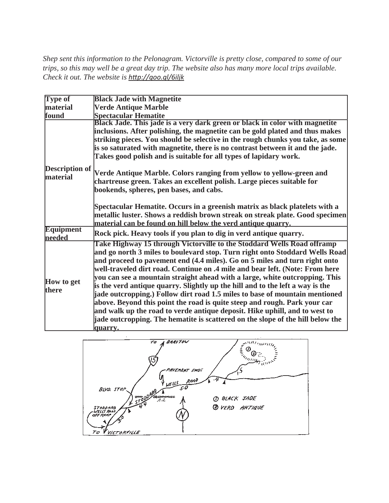*Shep sent this information to the Pelonagram. Victorville is pretty close, compared to some of our trips, so this may well be a great day trip. The website also has many more local trips available. Check it out. The website is http://goo.gl/6iljk* 

| <b>Black Jade with Magnetite</b>                                                                                                                                                                                                                                                                                                                                                                                                                                                                                                                                                                                                                                                                                                                                                                                           |
|----------------------------------------------------------------------------------------------------------------------------------------------------------------------------------------------------------------------------------------------------------------------------------------------------------------------------------------------------------------------------------------------------------------------------------------------------------------------------------------------------------------------------------------------------------------------------------------------------------------------------------------------------------------------------------------------------------------------------------------------------------------------------------------------------------------------------|
| <b>Verde Antique Marble</b>                                                                                                                                                                                                                                                                                                                                                                                                                                                                                                                                                                                                                                                                                                                                                                                                |
| <b>Spectacular Hematite</b>                                                                                                                                                                                                                                                                                                                                                                                                                                                                                                                                                                                                                                                                                                                                                                                                |
| Black Jade. This jade is a very dark green or black in color with magnetite                                                                                                                                                                                                                                                                                                                                                                                                                                                                                                                                                                                                                                                                                                                                                |
| inclusions. After polishing, the magnetite can be gold plated and thus makes                                                                                                                                                                                                                                                                                                                                                                                                                                                                                                                                                                                                                                                                                                                                               |
| striking pieces. You should be selective in the rough chunks you take, as some                                                                                                                                                                                                                                                                                                                                                                                                                                                                                                                                                                                                                                                                                                                                             |
| is so saturated with magnetite, there is no contrast between it and the jade.                                                                                                                                                                                                                                                                                                                                                                                                                                                                                                                                                                                                                                                                                                                                              |
| Takes good polish and is suitable for all types of lapidary work.                                                                                                                                                                                                                                                                                                                                                                                                                                                                                                                                                                                                                                                                                                                                                          |
| Verde Antique Marble. Colors ranging from yellow to yellow-green and<br>chartreuse green. Takes an excellent polish. Large pieces suitable for<br>bookends, spheres, pen bases, and cabs.                                                                                                                                                                                                                                                                                                                                                                                                                                                                                                                                                                                                                                  |
| Spectacular Hematite. Occurs in a greenish matrix as black platelets with a<br>metallic luster. Shows a reddish brown streak on streak plate. Good specimen<br>material can be found on hill below the verd antique quarry.                                                                                                                                                                                                                                                                                                                                                                                                                                                                                                                                                                                                |
| Rock pick. Heavy tools if you plan to dig in verd antique quarry.                                                                                                                                                                                                                                                                                                                                                                                                                                                                                                                                                                                                                                                                                                                                                          |
| Take Highway 15 through Victorville to the Stoddard Wells Road offramp<br>and go north 3 miles to boulevard stop. Turn right onto Stoddard Wells Road<br>and proceed to pavement end (4.4 miles). Go on 5 miles and turn right onto<br>well-traveled dirt road. Continue on .4 mile and bear left. (Note: From here<br>you can see a mountain straight ahead with a large, white outcropping. This<br>is the verd antique quarry. Slightly up the hill and to the left a way is the<br>jade outcropping.) Follow dirt road 1.5 miles to base of mountain mentioned<br>above. Beyond this point the road is quite steep and rough. Park your car<br>and walk up the road to verde antique deposit. Hike uphill, and to west to<br>jade outcropping. The hematite is scattered on the slope of the hill below the<br>quarry. |
|                                                                                                                                                                                                                                                                                                                                                                                                                                                                                                                                                                                                                                                                                                                                                                                                                            |

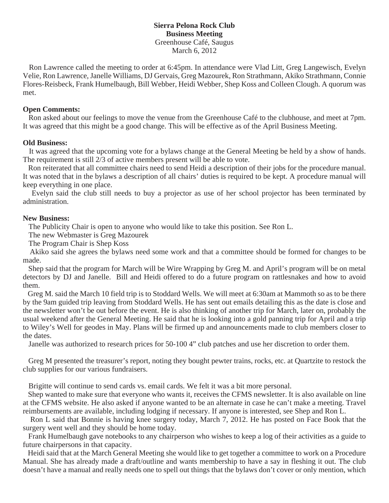#### **Sierra Pelona Rock Club Business Meeting** Greenhouse Café, Saugus March 6, 2012

 Ron Lawrence called the meeting to order at 6:45pm. In attendance were Vlad Litt, Greg Langewisch, Evelyn Velie, Ron Lawrence, Janelle Williams, DJ Gervais, Greg Mazourek, Ron Strathmann, Akiko Strathmann, Connie Flores-Reisbeck, Frank Humelbaugh, Bill Webber, Heidi Webber, Shep Koss and Colleen Clough. A quorum was met.

#### **Open Comments:**

 Ron asked about our feelings to move the venue from the Greenhouse Café to the clubhouse, and meet at 7pm. It was agreed that this might be a good change. This will be effective as of the April Business Meeting.

#### **Old Business:**

 It was agreed that the upcoming vote for a bylaws change at the General Meeting be held by a show of hands. The requirement is still 2/3 of active members present will be able to vote.

 Ron reiterated that all committee chairs need to send Heidi a description of their jobs for the procedure manual. It was noted that in the bylaws a description of all chairs' duties is required to be kept. A procedure manual will keep everything in one place.

 Evelyn said the club still needs to buy a projector as use of her school projector has been terminated by administration.

#### **New Business:**

The Publicity Chair is open to anyone who would like to take this position. See Ron L.

The new Webmaster is Greg Mazourek

The Program Chair is Shep Koss

 Akiko said she agrees the bylaws need some work and that a committee should be formed for changes to be made.

 Shep said that the program for March will be Wire Wrapping by Greg M. and April's program will be on metal detectors by DJ and Janelle. Bill and Heidi offered to do a future program on rattlesnakes and how to avoid them.

 Greg M. said the March 10 field trip is to Stoddard Wells. We will meet at 6:30am at Mammoth so as to be there by the 9am guided trip leaving from Stoddard Wells. He has sent out emails detailing this as the date is close and the newsletter won't be out before the event. He is also thinking of another trip for March, later on, probably the usual weekend after the General Meeting. He said that he is looking into a gold panning trip for April and a trip to Wiley's Well for geodes in May. Plans will be firmed up and announcements made to club members closer to the dates.

Janelle was authorized to research prices for 50-100 4" club patches and use her discretion to order them.

 Greg M presented the treasurer's report, noting they bought pewter trains, rocks, etc. at Quartzite to restock the club supplies for our various fundraisers.

Brigitte will continue to send cards vs. email cards. We felt it was a bit more personal.

 Shep wanted to make sure that everyone who wants it, receives the CFMS newsletter. It is also available on line at the CFMS website. He also asked if anyone wanted to be an alternate in case he can't make a meeting. Travel reimbursements are available, including lodging if necessary. If anyone is interested, see Shep and Ron L.

 Ron L said that Bonnie is having knee surgery today, March 7, 2012. He has posted on Face Book that the surgery went well and they should be home today.

 Frank Humelbaugh gave notebooks to any chairperson who wishes to keep a log of their activities as a guide to future chairpersons in that capacity.

 Heidi said that at the March General Meeting she would like to get together a committee to work on a Procedure Manual. She has already made a draft/outline and wants membership to have a say in fleshing it out. The club doesn't have a manual and really needs one to spell out things that the bylaws don't cover or only mention, which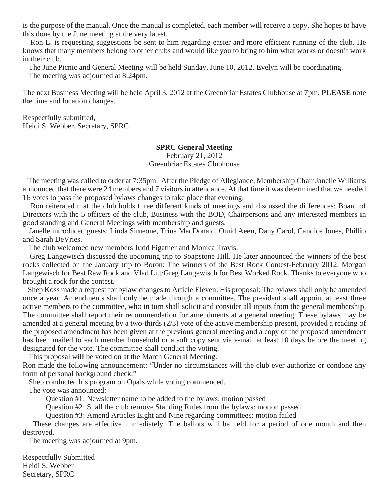is the purpose of the manual. Once the manual is completed, each member will receive a copy. She hopes to have this done by the June meeting at the very latest.

 Ron L. is requesting suggestions be sent to him regarding easier and more efficient running of the club. He knows that many members belong to other clubs and would like you to bring to him what works or doesn't work in their club.

 The June Picnic and General Meeting will be held Sunday, June 10, 2012. Evelyn will be coordinating. The meeting was adjourned at 8:24pm.

The next Business Meeting will be held April 3, 2012 at the Greenbriar Estates Clubhouse at 7pm. **PLEASE** note the time and location changes.

Respectfully submitted, Heidi S. Webber, Secretary, SPRC

#### **SPRC General Meeting**

February 21, 2012 Greenbriar Estates Clubhouse

 The meeting was called to order at 7:35pm. After the Pledge of Allegiance, Membership Chair Janelle Williams announced that there were 24 members and 7 visitors in attendance. At that time it was determined that we needed 16 votes to pass the proposed bylaws changes to take place that evening.

 Ron reiterated that the club holds three different kinds of meetings and discussed the differences: Board of Directors with the 5 officers of the club, Business with the BOD, Chairpersons and any interested members in good standing and General Meetings with membership and guests.

 Janelle introduced guests: Linda Simeone, Trina MacDonald, Omid Aeen, Dany Carol, Candice Jones, Phillip and Sarah DeVries.

The club welcomed new members Judd Figatner and Monica Travis.

 Greg Langewisch discussed the upcoming trip to Soapstone Hill. He later announced the winners of the best rocks collected on the January trip to Boron: The winners of the Best Rock Contest-February 2012. Morgan Langewisch for Best Raw Rock and Vlad Litt/Greg Langewisch for Best Worked Rock. Thanks to everyone who brought a rock for the contest.

 Shep Koss made a request for bylaw changes to Article Eleven: His proposal: The bylaws shall only be amended once a year. Amendments shall only be made through a committee. The president shall appoint at least three active members to the committee, who in turn shall solicit and consider all inputs from the general membership. The committee shall report their recommendation for amendments at a general meeting. These bylaws may be amended at a general meeting by a two-thirds (2/3) vote of the active membership present, provided a reading of the proposed amendment has been given at the previous general meeting and a copy of the proposed amendment has been mailed to each member household or a soft copy sent via e-mail at least 10 days before the meeting designated for the vote. The committee shall conduct the voting.

This proposal will be voted on at the March General Meeting.

Ron made the following announcement: "Under no circumstances will the club ever authorize or condone any form of personal background check."

Shep conducted his program on Opals while voting commenced.

The vote was announced:

Question #1: Newsletter name to be added to the bylaws: motion passed

Question #2: Shall the club remove Standing Rules from the bylaws: motion passed

Question #3: Amend Articles Eight and Nine regarding committees: motion failed

 These changes are effective immediately. The ballots will be held for a period of one month and then destroyed.

The meeting was adjourned at 9pm.

Respectfully Submitted Heidi S. Webber Secretary, SPRC